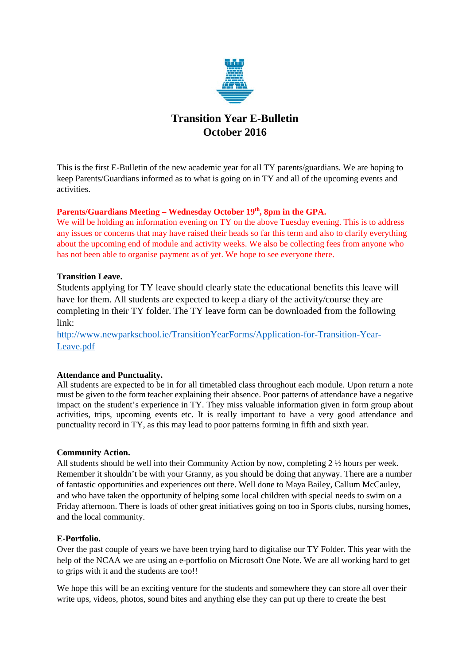

# **Transition Year E-Bulletin October 2016**

This is the first E-Bulletin of the new academic year for all TY parents/guardians. We are hoping to keep Parents/Guardians informed as to what is going on in TY and all of the upcoming events and activities.

## Parents/Guardians Meeting – Wednesday October 19<sup>th</sup>, 8pm in the GPA.

We will be holding an information evening on TY on the above Tuesday evening. This is to address any issues or concerns that may have raised their heads so far this term and also to clarify everything about the upcoming end of module and activity weeks. We also be collecting fees from anyone who has not been able to organise payment as of yet. We hope to see everyone there.

## **Transition Leave.**

Students applying for TY leave should clearly state the educational benefits this leave will have for them. All students are expected to keep a diary of the activity/course they are completing in their TY folder. The TY leave form can be downloaded from the following link:

[http://www.newparkschool.ie/TransitionYearForms/Application-for-Transition-Year-](http://www.newparkschool.ie/TransitionYearForms/Application-for-Transition-Year-Leave.pdf)[Leave.pdf](http://www.newparkschool.ie/TransitionYearForms/Application-for-Transition-Year-Leave.pdf)

## **Attendance and Punctuality.**

All students are expected to be in for all timetabled class throughout each module. Upon return a note must be given to the form teacher explaining their absence. Poor patterns of attendance have a negative impact on the student's experience in TY. They miss valuable information given in form group about activities, trips, upcoming events etc. It is really important to have a very good attendance and punctuality record in TY, as this may lead to poor patterns forming in fifth and sixth year.

## **Community Action.**

All students should be well into their Community Action by now, completing 2 ½ hours per week. Remember it shouldn't be with your Granny, as you should be doing that anyway. There are a number of fantastic opportunities and experiences out there. Well done to Maya Bailey, Callum McCauley, and who have taken the opportunity of helping some local children with special needs to swim on a Friday afternoon. There is loads of other great initiatives going on too in Sports clubs, nursing homes, and the local community.

## **E-Portfolio.**

Over the past couple of years we have been trying hard to digitalise our TY Folder. This year with the help of the NCAA we are using an e-portfolio on Microsoft One Note. We are all working hard to get to grips with it and the students are too!!

We hope this will be an exciting venture for the students and somewhere they can store all over their write ups, videos, photos, sound bites and anything else they can put up there to create the best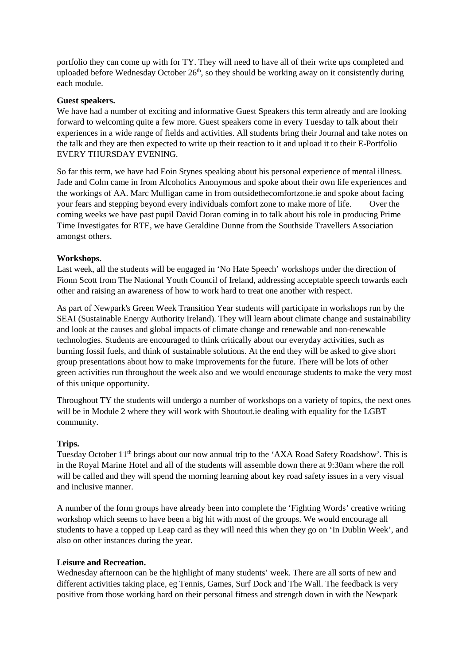portfolio they can come up with for TY. They will need to have all of their write ups completed and uploaded before Wednesday October  $26<sup>th</sup>$ , so they should be working away on it consistently during each module.

## **Guest speakers.**

We have had a number of exciting and informative Guest Speakers this term already and are looking forward to welcoming quite a few more. Guest speakers come in every Tuesday to talk about their experiences in a wide range of fields and activities. All students bring their Journal and take notes on the talk and they are then expected to write up their reaction to it and upload it to their E-Portfolio EVERY THURSDAY EVENING.

So far this term, we have had Eoin Stynes speaking about his personal experience of mental illness. Jade and Colm came in from Alcoholics Anonymous and spoke about their own life experiences and the workings of AA. Marc Mulligan came in from outsidethecomfortzone.ie and spoke about facing your fears and stepping beyond every individuals comfort zone to make more of life. Over the coming weeks we have past pupil David Doran coming in to talk about his role in producing Prime Time Investigates for RTE, we have Geraldine Dunne from the Southside Travellers Association amongst others.

## **Workshops.**

Last week, all the students will be engaged in 'No Hate Speech' workshops under the direction of Fionn Scott from The National Youth Council of Ireland, addressing acceptable speech towards each other and raising an awareness of how to work hard to treat one another with respect.

As part of Newpark's Green Week Transition Year students will participate in workshops run by the SEAI (Sustainable Energy Authority Ireland). They will learn about climate change and sustainability and look at the causes and global impacts of climate change and renewable and non-renewable technologies. Students are encouraged to think critically about our everyday activities, such as burning fossil fuels, and think of sustainable solutions. At the end they will be asked to give short group presentations about how to make improvements for the future. There will be lots of other green activities run throughout the week also and we would encourage students to make the very most of this unique opportunity.

Throughout TY the students will undergo a number of workshops on a variety of topics, the next ones will be in Module 2 where they will work with Shoutout ie dealing with equality for the LGBT community.

## **Trips.**

Tuesday October 11<sup>th</sup> brings about our now annual trip to the 'AXA Road Safety Roadshow'. This is in the Royal Marine Hotel and all of the students will assemble down there at 9:30am where the roll will be called and they will spend the morning learning about key road safety issues in a very visual and inclusive manner.

A number of the form groups have already been into complete the 'Fighting Words' creative writing workshop which seems to have been a big hit with most of the groups. We would encourage all students to have a topped up Leap card as they will need this when they go on 'In Dublin Week', and also on other instances during the year.

## **Leisure and Recreation.**

Wednesday afternoon can be the highlight of many students' week. There are all sorts of new and different activities taking place, eg Tennis, Games, Surf Dock and The Wall. The feedback is very positive from those working hard on their personal fitness and strength down in with the Newpark